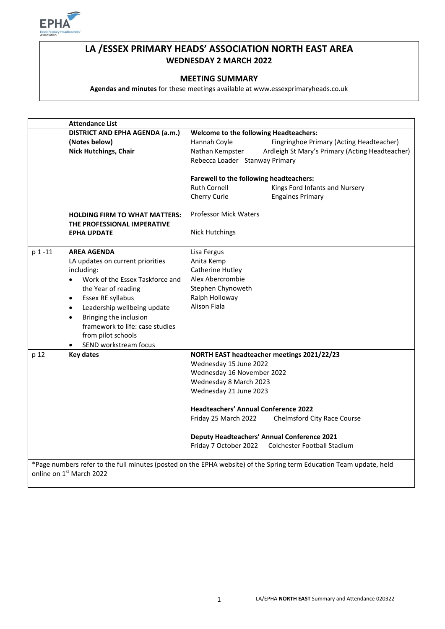

# **LA /ESSEX PRIMARY HEADS' ASSOCIATION NORTH EAST AREA WEDNESDAY 2 MARCH 2022**

### **MEETING SUMMARY**

**Agendas and minutes** for these meetings available at www.essexprimaryheads.co.uk

|                                                                                                                     | <b>Attendance List</b>                                              |                                                                      |  |  |  |
|---------------------------------------------------------------------------------------------------------------------|---------------------------------------------------------------------|----------------------------------------------------------------------|--|--|--|
|                                                                                                                     | DISTRICT AND EPHA AGENDA (a.m.)                                     | <b>Welcome to the following Headteachers:</b>                        |  |  |  |
|                                                                                                                     | (Notes below)                                                       | Hannah Coyle<br>Fingringhoe Primary (Acting Headteacher)             |  |  |  |
|                                                                                                                     | <b>Nick Hutchings, Chair</b>                                        | Ardleigh St Mary's Primary (Acting Headteacher)<br>Nathan Kempster   |  |  |  |
|                                                                                                                     |                                                                     | Rebecca Loader Stanway Primary                                       |  |  |  |
|                                                                                                                     |                                                                     | <b>Farewell to the following headteachers:</b>                       |  |  |  |
|                                                                                                                     |                                                                     | <b>Ruth Cornell</b><br>Kings Ford Infants and Nursery                |  |  |  |
|                                                                                                                     |                                                                     | Cherry Curle<br><b>Engaines Primary</b>                              |  |  |  |
|                                                                                                                     | <b>HOLDING FIRM TO WHAT MATTERS:</b><br>THE PROFESSIONAL IMPERATIVE | <b>Professor Mick Waters</b>                                         |  |  |  |
|                                                                                                                     | <b>EPHA UPDATE</b>                                                  | <b>Nick Hutchings</b>                                                |  |  |  |
| p 1 -11<br><b>AREA AGENDA</b><br>LA updates on current priorities                                                   |                                                                     | Lisa Fergus                                                          |  |  |  |
|                                                                                                                     |                                                                     | Anita Kemp                                                           |  |  |  |
|                                                                                                                     | including:                                                          | Catherine Hutley                                                     |  |  |  |
|                                                                                                                     | Work of the Essex Taskforce and                                     | Alex Abercrombie                                                     |  |  |  |
|                                                                                                                     | the Year of reading                                                 | Stephen Chynoweth                                                    |  |  |  |
|                                                                                                                     | Essex RE syllabus<br>$\bullet$                                      | Ralph Holloway                                                       |  |  |  |
|                                                                                                                     | Leadership wellbeing update<br>$\bullet$                            | Alison Fiala                                                         |  |  |  |
|                                                                                                                     | Bringing the inclusion<br>$\bullet$                                 |                                                                      |  |  |  |
|                                                                                                                     | framework to life: case studies                                     |                                                                      |  |  |  |
|                                                                                                                     | from pilot schools                                                  |                                                                      |  |  |  |
|                                                                                                                     | SEND workstream focus                                               |                                                                      |  |  |  |
| p 12                                                                                                                | <b>Key dates</b>                                                    | NORTH EAST headteacher meetings 2021/22/23<br>Wednesday 15 June 2022 |  |  |  |
|                                                                                                                     |                                                                     |                                                                      |  |  |  |
|                                                                                                                     |                                                                     | Wednesday 16 November 2022                                           |  |  |  |
|                                                                                                                     |                                                                     | Wednesday 8 March 2023                                               |  |  |  |
|                                                                                                                     |                                                                     | Wednesday 21 June 2023                                               |  |  |  |
|                                                                                                                     |                                                                     | <b>Headteachers' Annual Conference 2022</b>                          |  |  |  |
|                                                                                                                     |                                                                     | Friday 25 March 2022<br>Chelmsford City Race Course                  |  |  |  |
|                                                                                                                     |                                                                     | <b>Deputy Headteachers' Annual Conference 2021</b>                   |  |  |  |
|                                                                                                                     |                                                                     | Friday 7 October 2022<br>Colchester Football Stadium                 |  |  |  |
| *Page numbers refer to the full minutes (posted on the EPHA website) of the Spring term Education Team update, held |                                                                     |                                                                      |  |  |  |
|                                                                                                                     | online on 1st March 2022                                            |                                                                      |  |  |  |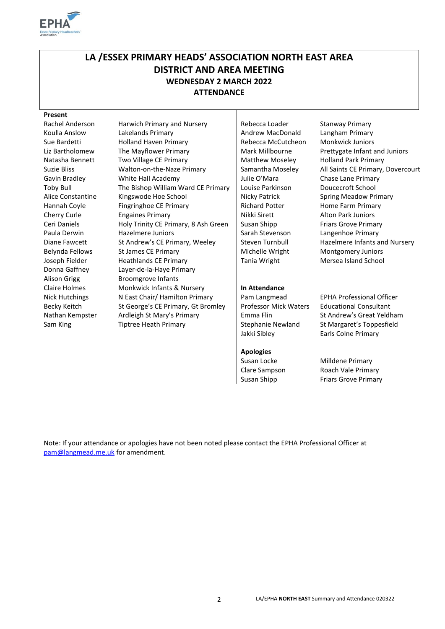

# **LA /ESSEX PRIMARY HEADS' ASSOCIATION NORTH EAST AREA DISTRICT AND AREA MEETING WEDNESDAY 2 MARCH 2022 ATTENDANCE**

### **Present**

Rachel Anderson Harwich Primary and Nursery Rebecca Loader Stanway Primary Koulla Anslow Lakelands Primary **Andrew MacDonald** Langham Primary Sue Bardetti **Holland Haven Primary** Rebecca McCutcheon Monkwick Juniors Liz Bartholomew The Mayflower Primary **Mark Millbourne** Prettygate Infant and Juniors Natasha Bennett Two Village CE Primary Matthew Moseley Holland Park Primary Suzie Bliss Walton-on-the-Naze Primary Samantha Moseley All Saints CE Primary, Dovercourt Gavin Bradley **Mhite Hall Academy** Julie O'Mara Chase Lane Primary Toby Bull The Bishop William Ward CE Primary Louise Parkinson Doucecroft School Alice Constantine Kingswode Hoe School | Nicky Patrick Spring Meadow Primary Hannah Coyle Fingringhoe CE Primary Fingringhoe Research Richard Potter Home Farm Primary Cherry Curle Engaines Primary **Nikki Sirett** Alton Park Juniors Ceri Daniels **Holy Trinity CE Primary, 8 Ash Green** Susan Shipp **Friars Grove Primary** Paula Derwin **Hazelmere Juniors** Sarah Stevenson Langenhoe Primary Diane Fawcett St Andrew's CE Primary, Weeley Steven Turnbull Hazelmere Infants and Nursery Belynda Fellows St James CE Primary Muchelle Wright Montgomery Juniors Joseph Fielder **Heathlands CE Primary** Tania Wright Mersea Island School Donna Gaffney Layer-de-la-Haye Primary Alison Grigg Broomgrove Infants Claire Holmes Monkwick Infants & Nursery **In Attendance**  Nick Hutchings Nicast Chair/ Hamilton Primary Pam Langmead EPHA Professional Officer Becky Keitch St George's CE Primary, Gt Bromley Professor Mick Waters Educational Consultant Nathan Kempster Ardleigh St Mary's Primary Film Emma Flin St Andrew's Great Yeldham

Jakki Sibley Earls Colne Primary

### **Apologies**

Sam King Tiptree Heath Primary Stephanie Newland St Margaret's Toppesfield

Susan Locke Milldene Primary Clare Sampson Roach Vale Primary Susan Shipp Friars Grove Primary

Note: If your attendance or apologies have not been noted please contact the EPHA Professional Officer at [pam@langmead.me.uk](mailto:pam@langmead.me.uk) for amendment.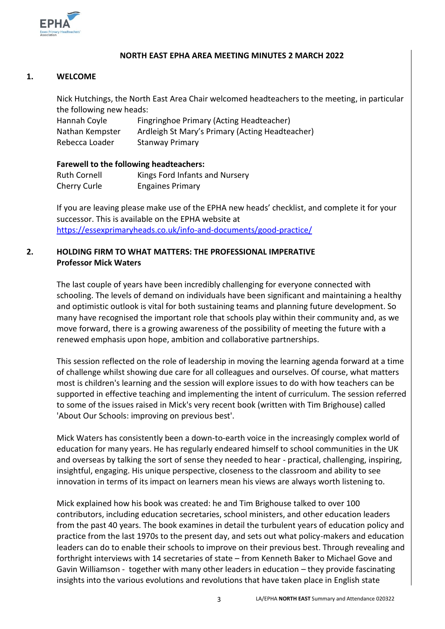

### **NORTH EAST EPHA AREA MEETING MINUTES 2 MARCH 2022**

### **1. WELCOME**

Nick Hutchings, the North East Area Chair welcomed headteachers to the meeting, in particular the following new heads:

Hannah Coyle Fingringhoe Primary (Acting Headteacher) Nathan Kempster Ardleigh St Mary's Primary (Acting Headteacher) Rebecca Loader Stanway Primary

### **Farewell to the following headteachers:**

| <b>Ruth Cornell</b> | Kings Ford Infants and Nursery |
|---------------------|--------------------------------|
| Cherry Curle        | <b>Engaines Primary</b>        |

If you are leaving please make use of the EPHA new heads' checklist, and complete it for your successor. This is available on the EPHA website at <https://essexprimaryheads.co.uk/info-and-documents/good-practice/>

### **2. HOLDING FIRM TO WHAT MATTERS: THE PROFESSIONAL IMPERATIVE Professor Mick Waters**

The last couple of years have been incredibly challenging for everyone connected with schooling. The levels of demand on individuals have been significant and maintaining a healthy and optimistic outlook is vital for both sustaining teams and planning future development. So many have recognised the important role that schools play within their community and, as we move forward, there is a growing awareness of the possibility of meeting the future with a renewed emphasis upon hope, ambition and collaborative partnerships.

This session reflected on the role of leadership in moving the learning agenda forward at a time of challenge whilst showing due care for all colleagues and ourselves. Of course, what matters most is children's learning and the session will explore issues to do with how teachers can be supported in effective teaching and implementing the intent of curriculum. The session referred to some of the issues raised in Mick's very recent book (written with Tim Brighouse) called 'About Our Schools: improving on previous best'.

Mick Waters has consistently been a down-to-earth voice in the increasingly complex world of education for many years. He has regularly endeared himself to school communities in the UK and overseas by talking the sort of sense they needed to hear - practical, challenging, inspiring, insightful, engaging. His unique perspective, closeness to the classroom and ability to see innovation in terms of its impact on learners mean his views are always worth listening to.

Mick explained how his book was created: he and Tim Brighouse talked to over 100 contributors, including education secretaries, school ministers, and other education leaders from the past 40 years. The book examines in detail the turbulent years of education policy and practice from the last 1970s to the present day, and sets out what policy-makers and education leaders can do to enable their schools to improve on their previous best. Through revealing and forthright interviews with 14 secretaries of state – from Kenneth Baker to Michael Gove and Gavin Williamson - together with many other leaders in education – they provide fascinating insights into the various evolutions and revolutions that have taken place in English state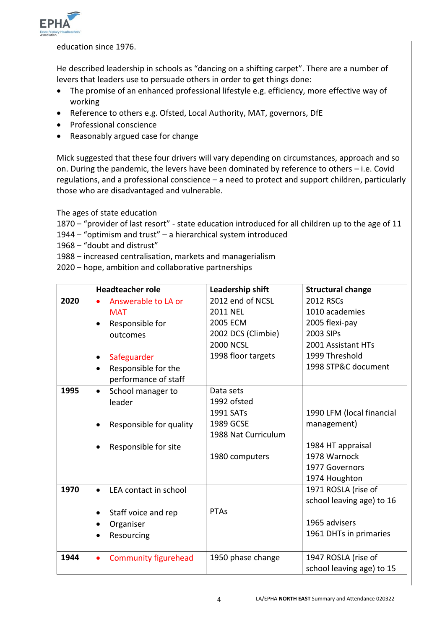

education since 1976.

He described leadership in schools as "dancing on a shifting carpet". There are a number of levers that leaders use to persuade others in order to get things done:

- The promise of an enhanced professional lifestyle e.g. efficiency, more effective way of working
- Reference to others e.g. Ofsted, Local Authority, MAT, governors, DfE
- Professional conscience
- Reasonably argued case for change

Mick suggested that these four drivers will vary depending on circumstances, approach and so on. During the pandemic, the levers have been dominated by reference to others – i.e. Covid regulations, and a professional conscience – a need to protect and support children, particularly those who are disadvantaged and vulnerable.

The ages of state education

1870 – "provider of last resort" - state education introduced for all children up to the age of 11

- 1944 "optimism and trust" a hierarchical system introduced
- 1968 "doubt and distrust"
- 1988 increased centralisation, markets and managerialism
- 2020 hope, ambition and collaborative partnerships

|      | <b>Headteacher role</b>                  | Leadership shift    | <b>Structural change</b>  |
|------|------------------------------------------|---------------------|---------------------------|
| 2020 | Answerable to LA or                      | 2012 end of NCSL    | <b>2012 RSCs</b>          |
|      | <b>MAT</b>                               | <b>2011 NEL</b>     | 1010 academies            |
|      | Responsible for                          | 2005 ECM            | 2005 flexi-pay            |
|      | outcomes                                 | 2002 DCS (Climbie)  | 2003 SIPs                 |
|      |                                          | <b>2000 NCSL</b>    | 2001 Assistant HTs        |
|      | Safeguarder                              | 1998 floor targets  | 1999 Threshold            |
|      | Responsible for the                      |                     | 1998 STP&C document       |
|      | performance of staff                     |                     |                           |
| 1995 | School manager to<br>$\bullet$           | Data sets           |                           |
|      | leader                                   | 1992 ofsted         |                           |
|      |                                          | 1991 SATs           | 1990 LFM (local financial |
|      | Responsible for quality                  | 1989 GCSE           | management)               |
|      |                                          | 1988 Nat Curriculum |                           |
|      | Responsible for site                     |                     | 1984 HT appraisal         |
|      |                                          | 1980 computers      | 1978 Warnock              |
|      |                                          |                     | 1977 Governors            |
|      |                                          |                     | 1974 Houghton             |
| 1970 | LEA contact in school                    |                     | 1971 ROSLA (rise of       |
|      |                                          |                     | school leaving age) to 16 |
|      | Staff voice and rep<br>$\bullet$         | <b>PTAs</b>         |                           |
|      | Organiser<br>$\bullet$                   |                     | 1965 advisers             |
|      | Resourcing                               |                     | 1961 DHTs in primaries    |
|      |                                          |                     |                           |
| 1944 | <b>Community figurehead</b><br>$\bullet$ | 1950 phase change   | 1947 ROSLA (rise of       |
|      |                                          |                     | school leaving age) to 15 |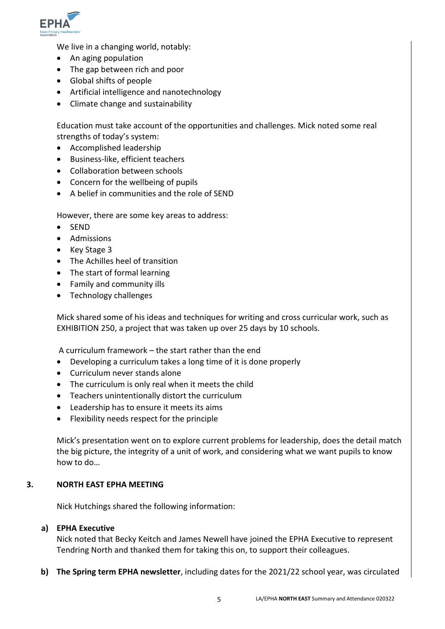

We live in a changing world, notably:

- An aging population
- The gap between rich and poor
- Global shifts of people
- Artificial intelligence and nanotechnology
- Climate change and sustainability

Education must take account of the opportunities and challenges. Mick noted some real strengths of today's system:

- Accomplished leadership
- Business-like, efficient teachers
- Collaboration between schools
- Concern for the wellbeing of pupils
- A belief in communities and the role of SEND

However, there are some key areas to address:

- $\bullet$  SEND
- Admissions
- Key Stage 3
- The Achilles heel of transition
- The start of formal learning
- Family and community ills
- Technology challenges

Mick shared some of his ideas and techniques for writing and cross curricular work, such as EXHIBITION 250, a project that was taken up over 25 days by 10 schools.

A curriculum framework – the start rather than the end

- Developing a curriculum takes a long time of it is done properly
- Curriculum never stands alone
- The curriculum is only real when it meets the child
- Teachers unintentionally distort the curriculum
- Leadership has to ensure it meets its aims
- Flexibility needs respect for the principle

Mick's presentation went on to explore current problems for leadership, does the detail match the big picture, the integrity of a unit of work, and considering what we want pupils to know how to do…

### **3. NORTH EAST EPHA MEETING**

Nick Hutchings shared the following information:

### **a) EPHA Executive**

Nick noted that Becky Keitch and James Newell have joined the EPHA Executive to represent Tendring North and thanked them for taking this on, to support their colleagues.

**b) The Spring term EPHA newsletter**, including dates for the 2021/22 school year, was circulated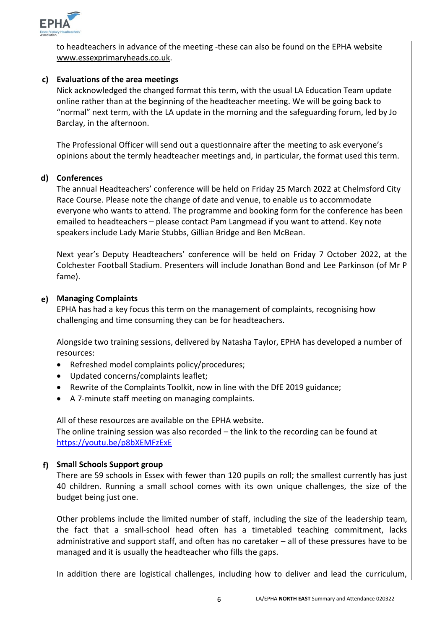

to headteachers in advance of the meeting -these can also be found on the EPHA website [www.essexprimaryheads.co.uk.](http://www.essexprimaryheads.co.uk/)

### **c) Evaluations of the area meetings**

Nick acknowledged the changed format this term, with the usual LA Education Team update online rather than at the beginning of the headteacher meeting. We will be going back to "normal" next term, with the LA update in the morning and the safeguarding forum, led by Jo Barclay, in the afternoon.

The Professional Officer will send out a questionnaire after the meeting to ask everyone's opinions about the termly headteacher meetings and, in particular, the format used this term.

### **d) Conferences**

The annual Headteachers' conference will be held on Friday 25 March 2022 at Chelmsford City Race Course. Please note the change of date and venue, to enable us to accommodate everyone who wants to attend. The programme and booking form for the conference has been emailed to headteachers – please contact Pam Langmead if you want to attend. Key note speakers include Lady Marie Stubbs, Gillian Bridge and Ben McBean.

Next year's Deputy Headteachers' conference will be held on Friday 7 October 2022, at the Colchester Football Stadium. Presenters will include Jonathan Bond and Lee Parkinson (of Mr P fame).

## **e) Managing Complaints**

EPHA has had a key focus this term on the management of complaints, recognising how challenging and time consuming they can be for headteachers.

Alongside two training sessions, delivered by Natasha Taylor, EPHA has developed a number of resources:

- Refreshed model complaints policy/procedures;
- Updated concerns/complaints leaflet;
- Rewrite of the Complaints Toolkit, now in line with the DfE 2019 guidance;
- A 7-minute staff meeting on managing complaints.

All of these resources are available on the EPHA website.

The online training session was also recorded – the link to the recording can be found at <https://youtu.be/p8bXEMFzExE>

## **f) Small Schools Support group**

There are 59 schools in Essex with fewer than 120 pupils on roll; the smallest currently has just 40 children. Running a small school comes with its own unique challenges, the size of the budget being just one.

Other problems include the limited number of staff, including the size of the leadership team, the fact that a small-school head often has a timetabled teaching commitment, lacks administrative and support staff, and often has no caretaker – all of these pressures have to be managed and it is usually the headteacher who fills the gaps.

In addition there are logistical challenges, including how to deliver and lead the curriculum,